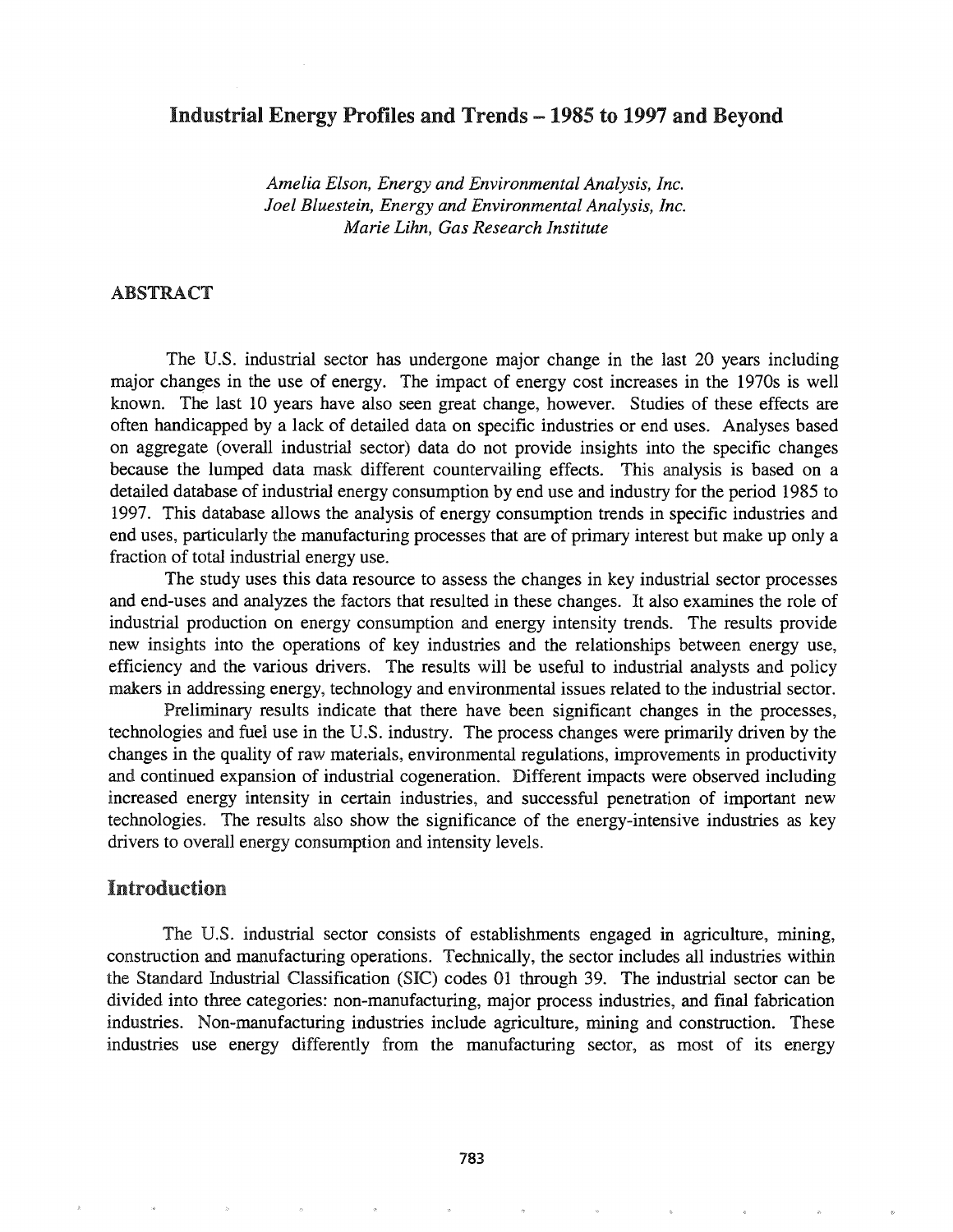## Industrial Energy Profiles and Trends - 1985 to 1997 and Beyond

*Amelia Elson, Energy and Environmental Analysis, Inc. Joel Bluestein, Energy and Environmental Analysis, Inc. Marie Lihn, Gas Research Institute*

### ABSTRACT

The U.S. industrial sector has undergone major change in the last 20 years including major changes in the use of energy. The impact of energy cost increases in the 1970s is well known. The last 10 years have also seen great change, however. Studies of these effects are often handicapped by a lack of detailed data on specific industries or end uses. Analyses based on aggregate (overall industrial sector) data do not provide insights into the specific changes because the lumped data mask different countervailing effects. This analysis is based on a detailed database of industrial energy consumption by end use and industry for the period 1985 to 1997. This database allows the analysis of energy consumption trends in specific industries and end uses, particularly the manufacturing processes that are of primary interest but make up only a fraction of total industrial energy use.

The study uses this data resource to assess the changes in key industrial sector processes and end-uses and analyzes the factors that resulted in these changes. It also examines the role of industrial production on energy consumption and energy intensity trends. The results provide new insights into the operations of key industries and the relationships between energy use, efficiency and the various drivers. The results will be useful to industrial analysts and policy makers in addressing energy, technology and environmental issues related to the industrial sector.

Preliminary results indicate that there have been significant changes in the processes, technologies and fuel use in the U.S. industry. The process changes were primarily driven by the changes in the quality of raw materials, environmental regulations, improvements in productivity and continued expansion of industrial cogeneration. Different impacts were observed including increased energy intensity in certain industries, and successful penetration of important new technologies. The results also show the significance of the energy-intensive industries as key drivers to overall energy consumption and intensity levels.

### Introduction

The U.S. industrial sector consists of establishments engaged in agriculture, mining, construction and manufacturing operations. Technically, the sector includes all industries within the Standard Industrial Classification (SIC) codes 01 through 39. The industrial sector can be divided into three categories: non-manufacturing, major process industries, and final fabrication industries. Non-manufacturing industries include agriculture, mining and construction. These industries use energy differently from the manufacturing sector, as most of its energy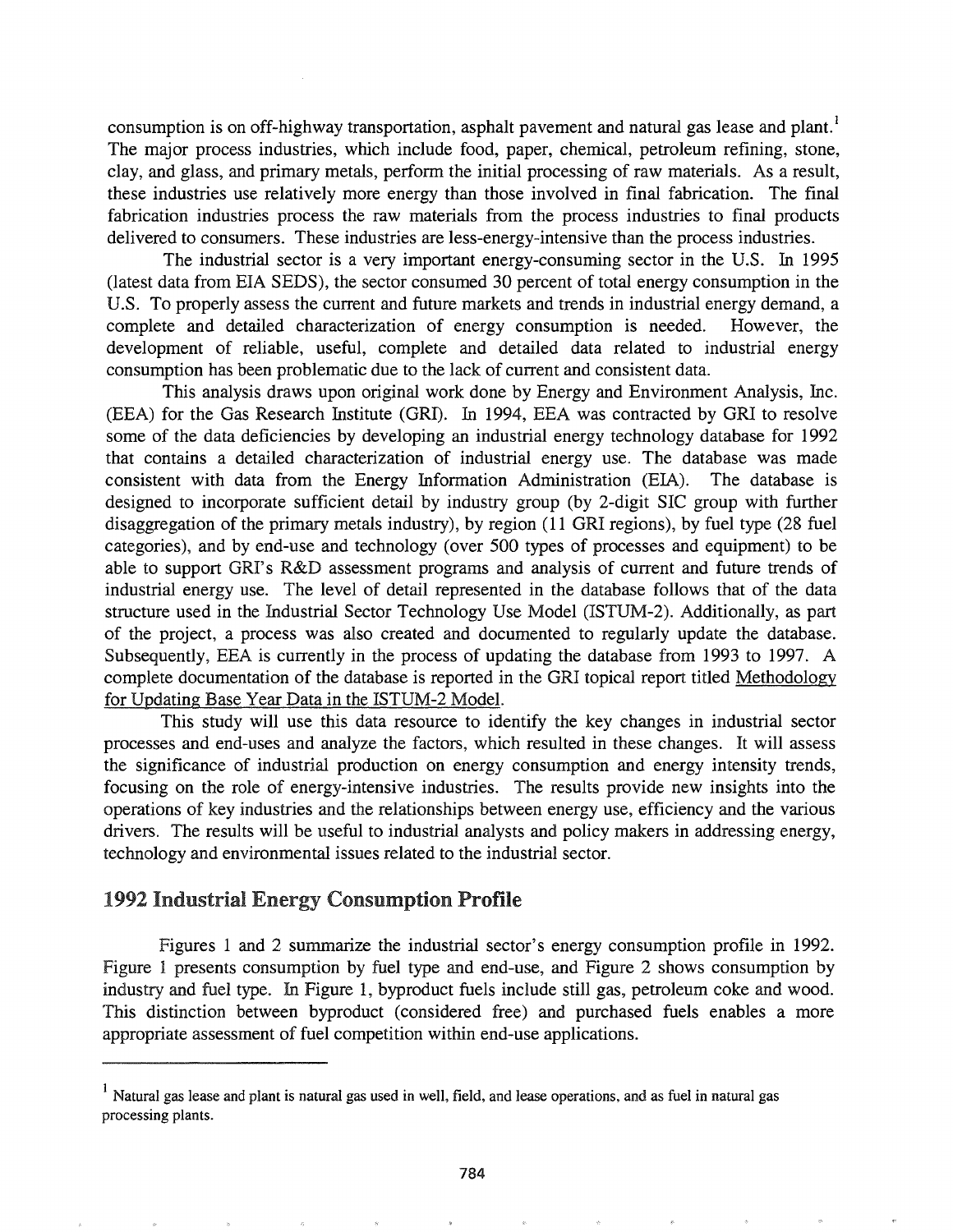consumption is on off-highway transportation, asphalt pavement and natural gas lease and plant.<sup>1</sup> The major process industries, which include food, paper, chemical, petroleum refining, stone, clay, and glass, and primary metals, perform the initial processing of raw materials. As a result, these industries use relatively more energy than those involved in final fabrication. The final fabrication industries process the raw materials from the process industries to final products delivered to consumers. These industries are less-energy-intensive than the process industries.

The industrial sector is a very important energy-consuming sector in the U.S. In 1995 (latest data from EIA SEDS), the sector consumed 30 percent of total energy consumption in the U.S. To properly assess the current and future markets and trends in industrial energy demand, a complete and detailed characterization of energy consumption is needed. However, the development of reliable, useful, complete and detailed data related to industrial energy consumption has been problematic due to the lack of current and consistent data.

This analysis draws upon original work done by Energy and Environment Analysis, Inc. (EEA) for the Gas Research Institute (GRI). In 1994, EEA was contracted by GRI to resolve some of the data deficiencies by developing an industrial energy technology database for 1992 that contains a detailed characterization of industrial energy use. The database was made consistent with data from the Energy Information Administration (EIA). The database is designed to incorporate sufficient detail by industry group (by 2-digit SIC group with further disaggregation of the primary metals industry), by region (11 GRI regions), by fuel type (28 fuel categories), and by end-use and technology (over 500 types of processes and equipment) to be able to support ORI's R&D assessment programs and analysis of current and future trends of industrial energy use. The level of detail represented in the database follows that of the data structure used in the Industrial Sector Technology Use Model (ISTUM-2). Additionally, as part of the project, a process was also created and documented to regularly update the database. Subsequently, EEA is currently in the process of updating the database from 1993 to 1997. A complete documentation of the database is reported in the GRI topical report titled Methodology for Updating Base Year Data in the ISTUM-2 Model.

This study will use this data resource to identify the key changes in industrial sector processes and end-uses and analyze the factors, which resulted in these changes. It will assess the significance of industrial production on energy consumption and energy intensity trends, focusing on the role of energy-intensive industries. The results provide new insights into the operations of key industries and the relationships between energy use, efficiency and the various drivers. The results will be useful to industrial analysts and policy makers in addressing energy, technology and environmental issues related to the industrial sector.

## 1992 Industrial Energy Consumption Profile

Figures 1 and 2 summarize the industrial sector's energy consumption profile in 1992. Figure 1 presents consumption by fuel type and end-use, and Figure 2 shows consumption by industry and fuel type. In Figure 1, byproduct fuels include still gas, petroleum coke and wood. This distinction between byproduct (considered free) and purchased fuels enables a more appropriate assessment of fuel competition within end-use applications.

<sup>&</sup>lt;sup>1</sup> Natural gas lease and plant is natural gas used in well, field, and lease operations, and as fuel in natural gas processing plants.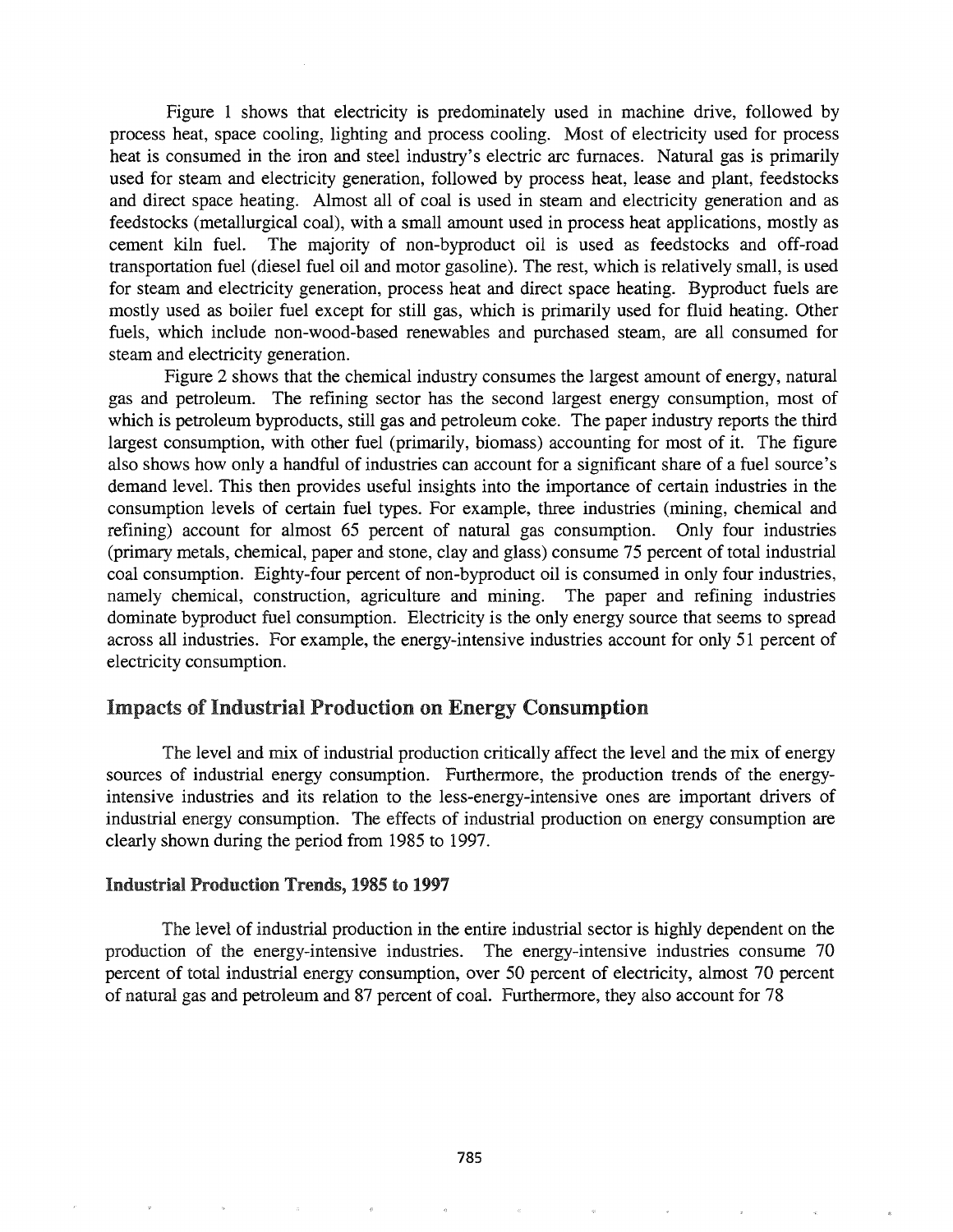Figure 1 shows that electricity is predominately used in machine drive, followed by process heat, space cooling, lighting and process cooling. Most of electricity used for process heat is consumed in the iron and steel industry's electric arc furnaces. Natural gas is primarily used for steam and electricity generation, followed by process heat, lease and plant, feedstocks and direct space heating. Almost all of coal is used in steam and electricity generation and as feedstocks (metallurgical coal), with a small amount used in process heat applications, mostly as cement kiln fuel. The majority of non-byproduct oil is used as feedstocks and off-road transportation fuel (diesel fuel oil and motor gasoline). The rest, which is relatively small, is used for steam and electricity generation, process heat and direct space heating. Byproduct fuels are mostly used as boiler fuel except for still gas, which is primarily used for fluid heating. Other fuels, which include non-wood-based renewables and purchased steam, are all consumed for steam and electricity generation.

Figure 2 shows that the chemical industry consumes the largest amount of energy, natural gas and petroleum. The refining sector has the second largest energy consumption, most of which is petroleum byproducts, still gas and petroleum coke. The paper industry reports the third largest consumption, with other fuel (primarily, biomass) accounting for most of it. The figure also shows how only a handful of industries can account for a significant share of a fuel source's demand level. This then provides useful insights into the importance of certain industries in the consumption levels of certain fuel types. For example, three industries (mining, chemical and refining) account for almost 65 percent of natural gas consumption. Only four industries (primary metals, chemical, paper and stone, clay and glass) consume 75 percent of total industrial coal consumption. Eighty-four percent of non-byproduct oil is consumed in only four industries, namely chemical, construction, agriculture and mining. The paper and refining industries dominate byproduct fuel consumption. Electricity is the only energy source that seems to spread across all industries. For example, the energy-intensive industries account for only 51 percent of electricity consumption.

## Impacts of Industrial Production on Energy Consumption

The level and mix of industrial production critically affect the level and the mix of energy sources of industrial energy consumption. Furthermore, the production trends of the energyintensive industries and its relation to the less-energy-intensive ones are important drivers of industrial energy consumption. The effects of industrial production on energy consumption are clearly shown during the period from 1985 to 1997.

### Industrial Production Trends, 1985 to 1997

The level of industrial production in the entire industrial sector is highly dependent on the production of the energy-intensive industries. The energy-intensive industries consume 70 percent of total industrial energy consumption, over 50 percent of electricity, almost 70 percent of natural gas and petroleum and 87 percent of coal. Furthermore, they also account for 78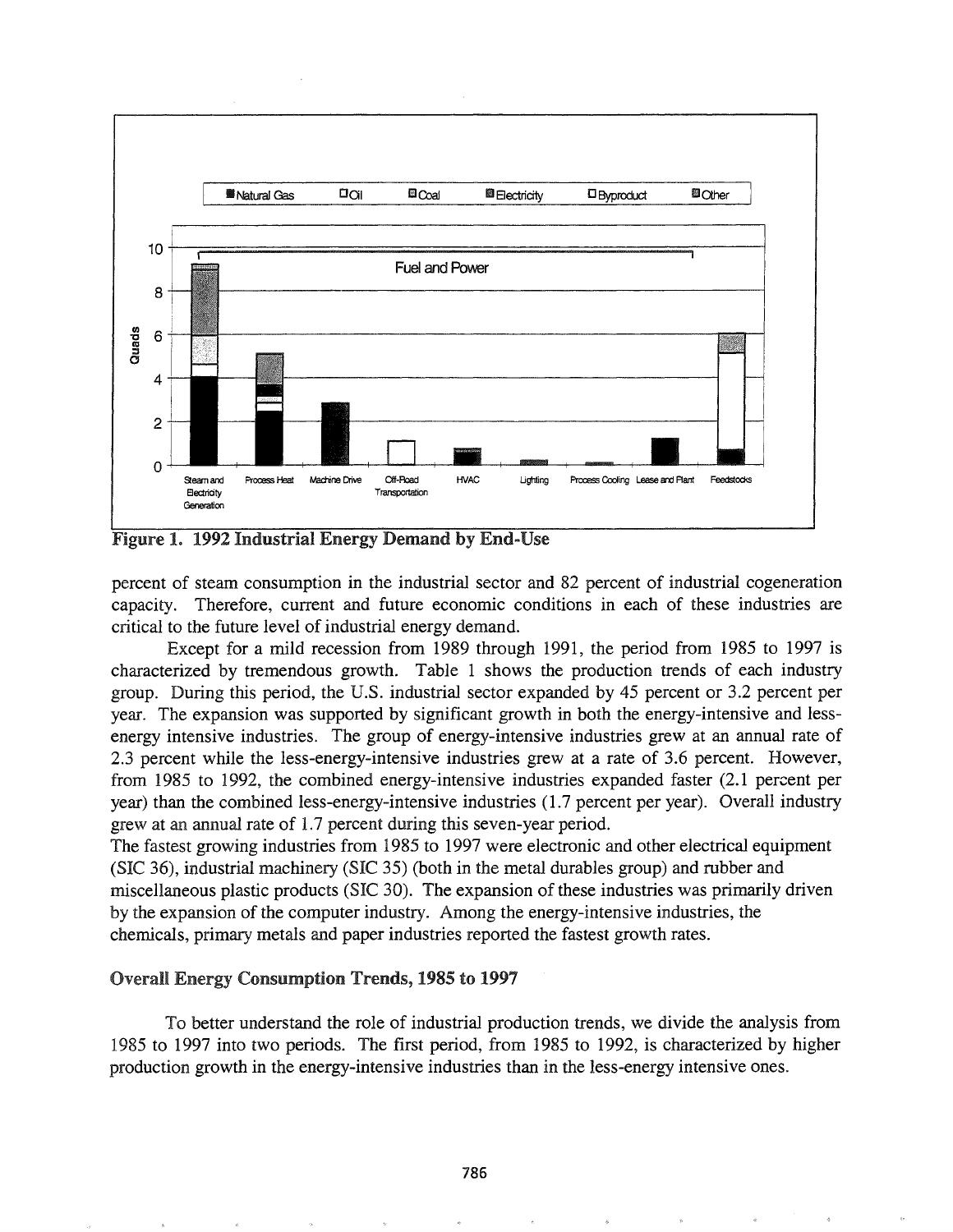

Figure 1. 1992 Industrial Energy Demand by End-Use

percent of steam consumption in the industrial sector and 82 percent of industrial cogeneration capacity. Therefore, current and future economic conditions in each of these industries are critical to the future level of industrial energy demand.

Except for a mild recession from 1989 through 1991, the period from 1985 to 1997 is characterized by tremendous growth. Table 1 shows the production trends of each industry group. During this period, the U.S. industrial sector expanded by 45 percent or 3.2 percent per year. The expansion was supported by significant growth in both the energy-intensive and lessenergy intensive industries. The group of energy-intensive industries grew at an annual rate of 2.3 percent while the less-energy-intensive industries grew at a rate of 3.6 percent. However, from 1985 to 1992, the combined energy-intensive industries expanded faster (2.1 percent per year) than the combined less-energy-intensive industries (1.7 percent per year). Overall industry grew at an annual rate of 1.7 percent during this seven-year period.

The fastest growing industries from 1985 to 1997 were electronic and other electrical equipment (SIC 36), industrial machinery (SIC 35) (both in the metal durables group) and rubber and miscellaneous plastic products (SIC 30). The expansion of these industries was primarily driven by the expansion of the computer industry. Among the energy-intensive industries, the chemicals, primary metals and paper industries reported the fastest growth rates.

### Overall Energy Consumption Trends, 1985 to 1997

To better understand the role of industrial production trends, we divide the analysis from 1985 to 1997 into two periods. The first period, from 1985 to 1992, is characterized by higher production growth in the energy-intensive industries than in the less-energy intensive oness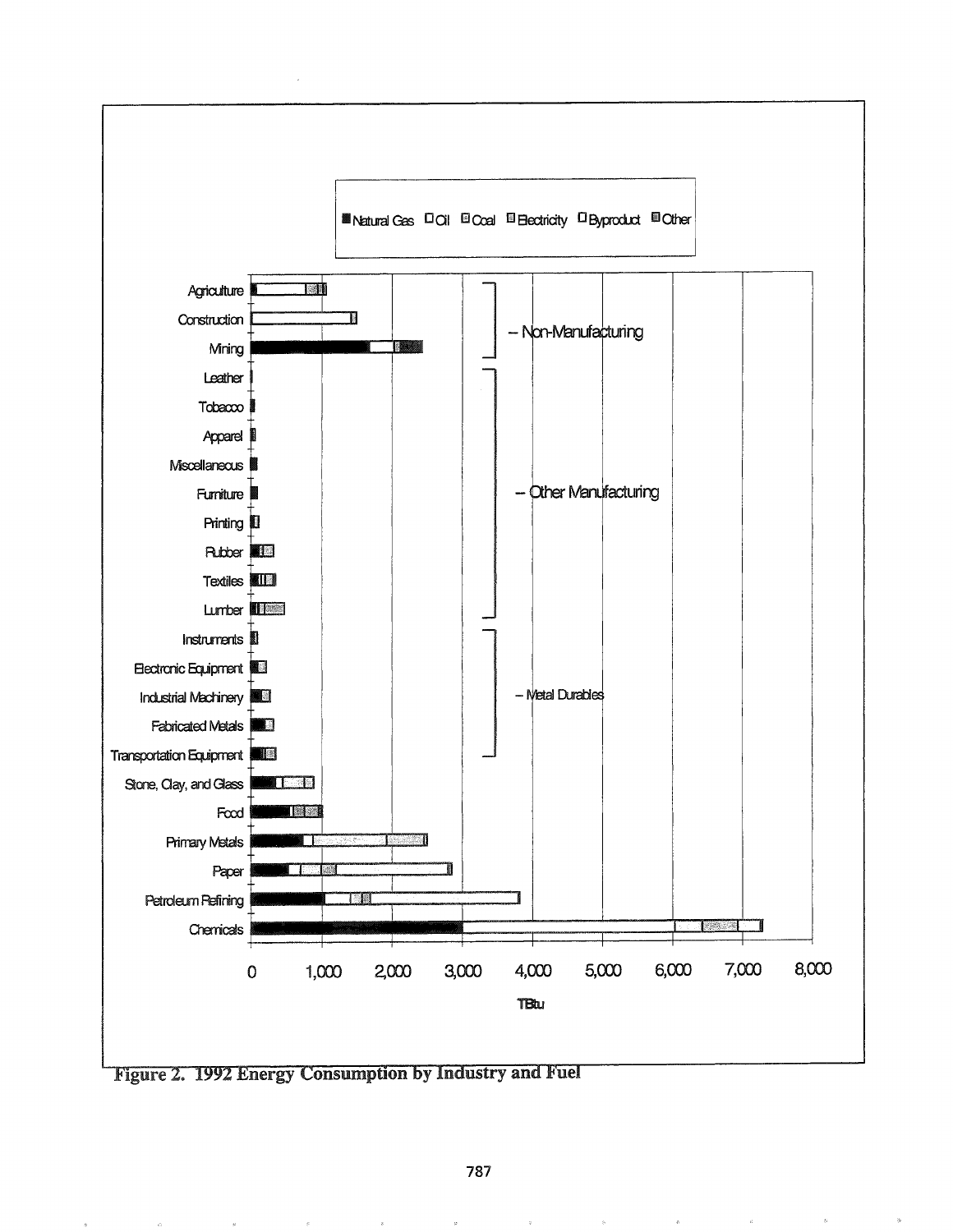

Figure 2. 1992 Energy Consumption by Industry and Fuel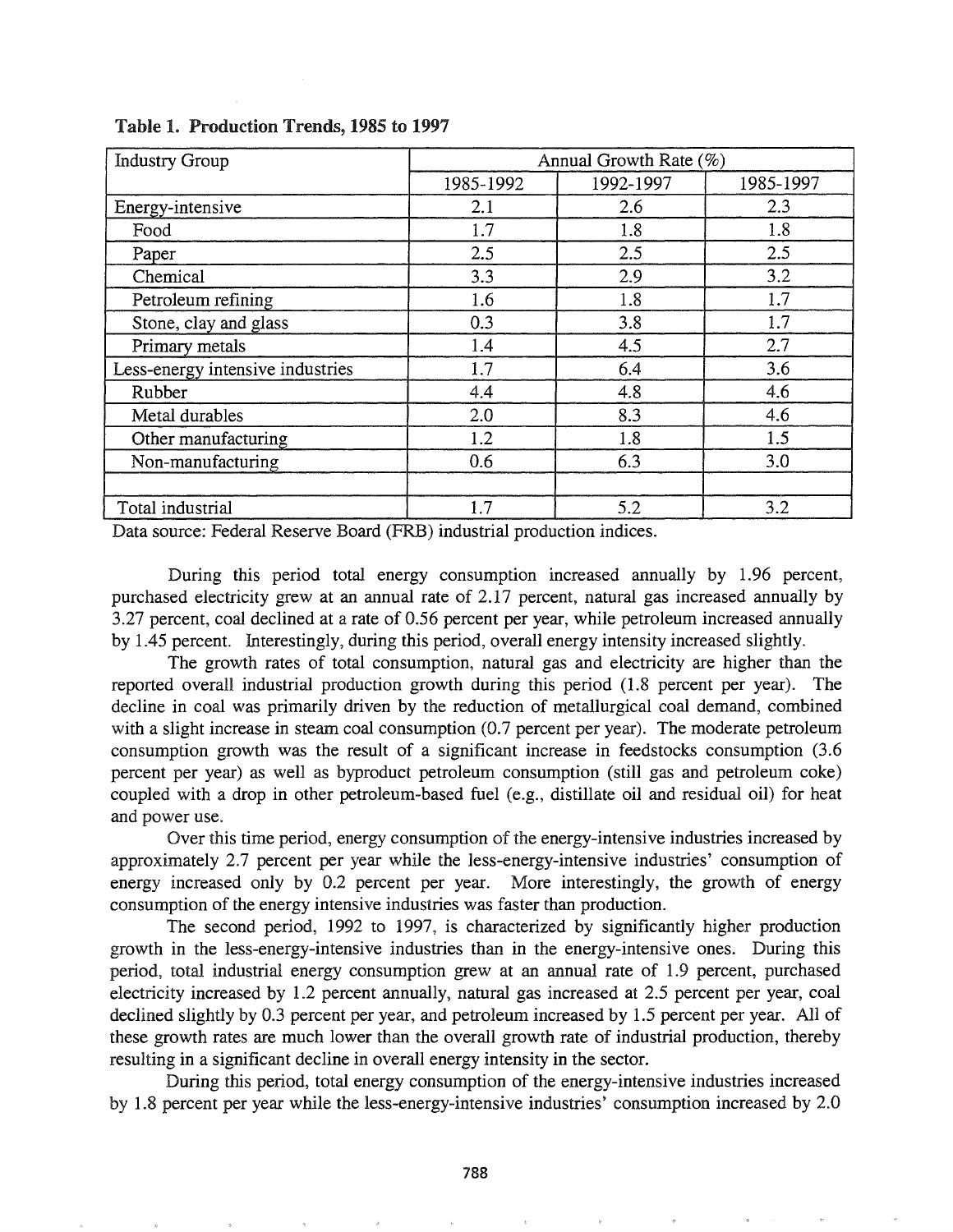| <b>Industry Group</b>            | Annual Growth Rate $(\%)$ |           |           |
|----------------------------------|---------------------------|-----------|-----------|
|                                  | 1985-1992                 | 1992-1997 | 1985-1997 |
| Energy-intensive                 | 2.1                       | 2.6       | 2.3       |
| Food                             | 1.7                       | 1.8       | 1.8       |
| Paper                            | 2.5                       | 2.5       | 2.5       |
| Chemical                         | 3.3                       | 2.9       | 3.2       |
| Petroleum refining               | 1.6                       | 1.8       | 1.7       |
| Stone, clay and glass            | 0.3                       | 3.8       | 1.7       |
| Primary metals                   | 1.4                       | 4.5       | 2.7       |
| Less-energy intensive industries | 1.7                       | 6.4       | 3.6       |
| Rubber                           | 4.4                       | 4.8       | 4.6       |
| Metal durables                   | 2.0                       | 8.3       | 4.6       |
| Other manufacturing              | 1.2                       | 1.8       | 1.5       |
| Non-manufacturing                | 0.6                       | 6.3       | 3.0       |
|                                  |                           |           |           |
| Total industrial                 | 1.7                       | 5.2       | 3.2       |

Table 1. Production Trends, 1985 to 1997

Data source: Federal Reserve Board (FRB) industrial production indices.

During this period total energy consumption increased annually by 1.96 percent, purchased electricity grew at an annual rate of 2.17 percent, natural gas increased annually by 3.27 percent, coal declined at a rate of 0.56 percent per year, while petroleum increased annually by 1.45 percent. Interestingly, during this period, overall energy intensity increased slightly.

The growth rates of total consumption, natural gas and electricity are higher than the reported overall industrial production growth during this period (1.8 percent per year). The decline in coal was primarily driven by the reduction of metallurgical coal demand, combined with a slight increase in steam coal consumption (0.7 percent per year). The moderate petroleum consumption growth was the result of a significant increase in feedstocks consumption (3.6 percent per year) as well as byproduct petroleum consumption (still gas and petroleum coke) coupled with a drop in other petroleum-based fuel (e.g., distillate oil and residual oil) for heat and power use.

Over this time period, energy consumption of the energy-intensive industries increased by approximately 2.7 percent per year while the less-energy-intensive industries' consumption of energy increased only by 0.2 percent per year. More interestingly, the growth of energy consumption of the energy intensive industries was faster than production.

The second period, 1992 to 1997, is characterized by significantly higher production growth in the less-energy-intensive industries than in the energy-intensive ones. During this period, total industrial energy consumption grew at an annual rate of 1.9 percent, purchased electricity increased by 1.2 percent annually, natural gas increased at 2.5 percent per year, coal declined slightly by 0.3 percent per year, and petroleum increased by 1.5 percent per year. All of these growth rates are much lower than the overall growth rate of industrial production, thereby resulting in a significant decline in overall energy intensity in the sector.

During this period, total energy consumption of the energy-intensive industries increased by 1.8 percent per year while the less-energy-intensive industries' consumption increased by 2.0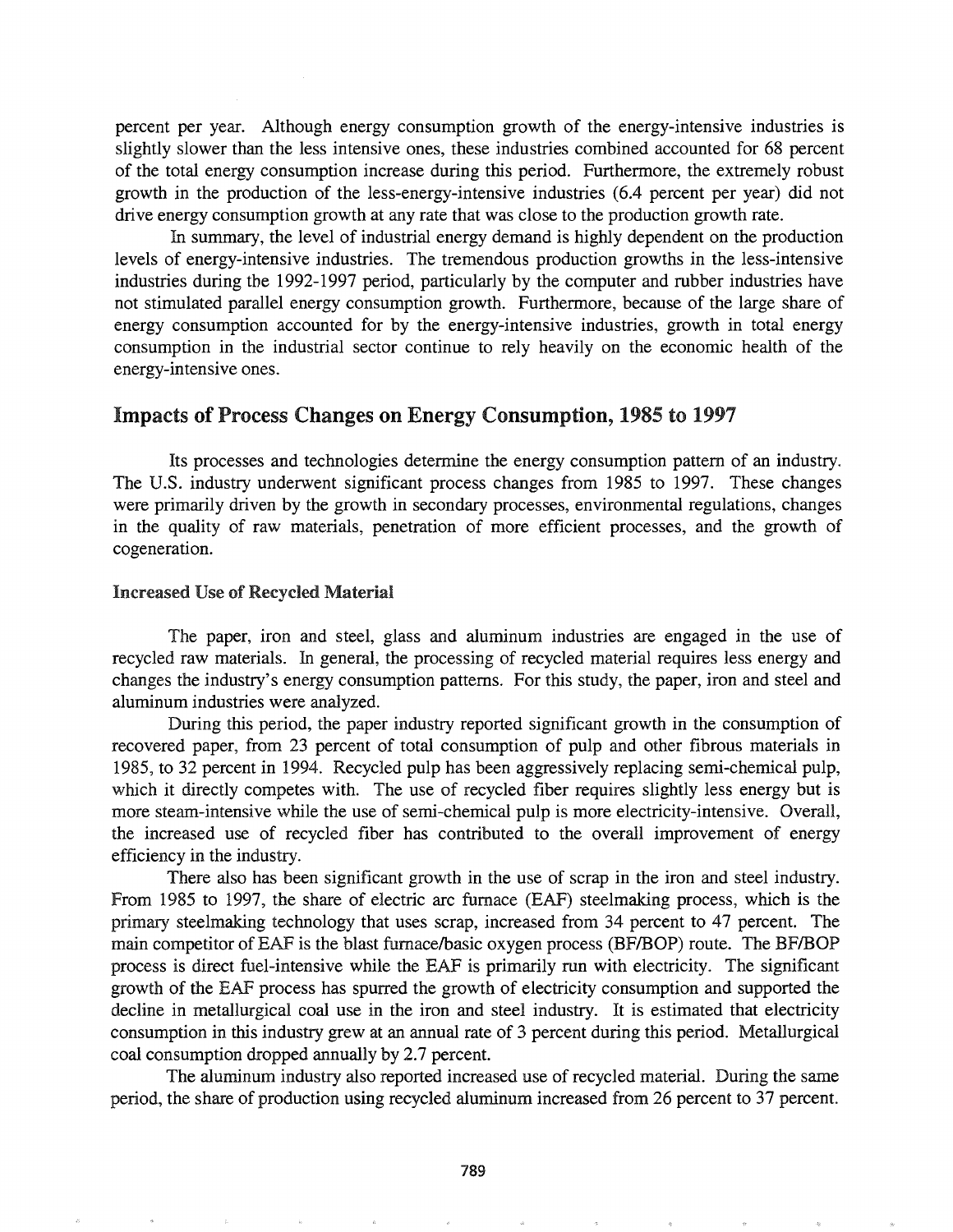percent per year. Although energy consumption growth of the energy-intensive industries is slightly slower than the less intensive ones, these industries combined accounted for 68 percent of the total energy consumption increase during this period. Furthermore, the extremely robust growth in the production of the less-energy-intensive industries (6.4 percent per year) did not drive energy consumption growth at any rate that was close to the production growth rate.

In summary, the level of industrial energy demand is highly dependent on the production levels of energy-intensive industries. The tremendous production growths in the less-intensive industries during the 1992-1997 period, particularly by the computer and rubber industries have not stimulated parallel energy consumption growth. Furthermore, because of the large share of energy consumption accounted for by the energy-intensive industries, growth in total energy consumption in the industrial sector continue to rely heavily on the economic health of the energy-intensive ones.

## Impacts of Process Changes on Energy Consumption, 1985 to 1997

Its processes and technologies determine the energy consumption pattern of an industry. The U.S. industry underwent significant process changes from 1985 to 1997. These changes were primarily driven by the growth in secondary processes, environmental regulations, changes in the quality of raw materials, penetration of more efficient processes, and the growth of cogeneration.

#### Increased Use of Recycled Material

The paper, iron and steel, glass and aluminum industries are engaged in the use of recycled raw materials. In general, the processing of recycled material requires less energy and changes the industry's energy consumption patterns. For this study, the paper, iron and steel and aluminum industries were analyzed.

During this period, the paper industry reported significant growth in the consumption of recovered paper, from 23 percent of total consumption of pulp and other fibrous materials in 1985, to 32 percent in 1994. Recycled pulp has been aggressively replacing semi-chemical pulp, which it directly competes with. The use of recycled fiber requires slightly less energy but is more steam-intensive while the use of semi-chemical pulp is more electricity-intensive. Overall, the increased use of recycled fiber has contributed to the overall improvement of energy efficiency in the industry.

There also has been significant growth in the use of scrap in the iron and steel industry. From 1985 to 1997, the share of electric arc furnace (EAF) steelmaking process, which is the primary steelmaking technology that uses scrap, increased from 34 percent to 47 percent. The main competitor of EAF is the blast furnace/basic oxygen process (BF/BOP) route. The BF/BOP process is direct fuel-intensive while the EAF is primarily run with electricity. The significant growth of the EAF process has spurred the growth of electricity consumption and supported the decline in metallurgical coal use in the iron and steel industry. It is estimated that electricity consumption in this industry grew at an annual rate of 3 percent during this period. Metallurgical coal consumption dropped annually by 2.7 percent.

The aluminum industry also reported increased use of recycled material. During the same period, the share of production using recycled aluminum increased from 26 percent to 37 percent.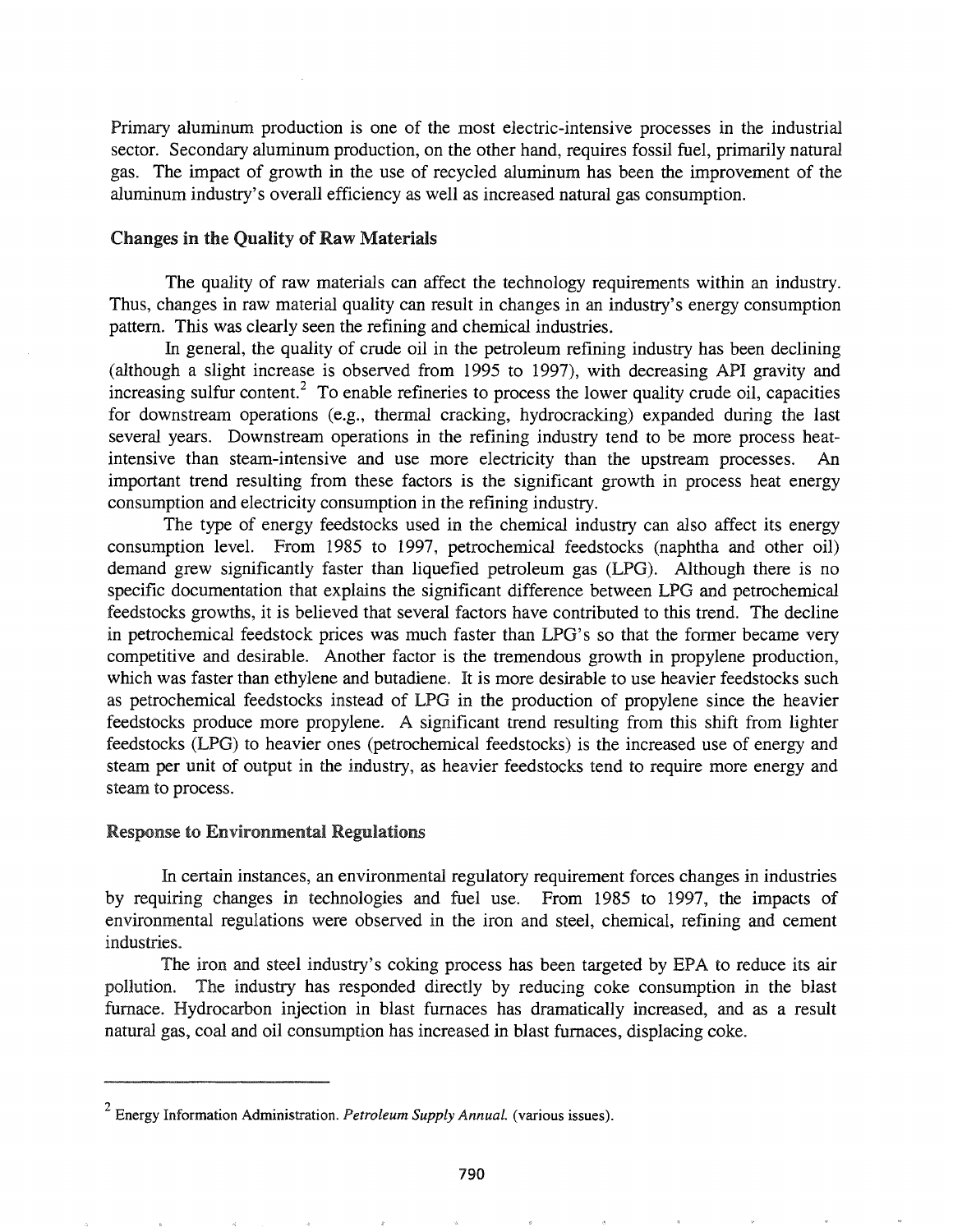Primary aluminum production is one of the most electric-intensive processes in the industrial sector. Secondary aluminum production, on the other hand, requires fossil fuel, primarily natural gas. The impact of growth in the use of recycled aluminum has been the improvement of the aluminum industry's overall efficiency as well as increased natural gas consumption.

#### Changes in the Quality of Raw Materials

The quality of raw materials can affect the technology requirements within an industry. Thus, changes in raw material quality can result in changes in an industry's energy consumption pattern. This was clearly seen the refining and chemical industries.

In general, the quality of crude oil in the petroleum refining industry has been declining (although a slight increase is observed from 1995 to 1997), with decreasing API gravity and increasing sulfur content.<sup>2</sup> To enable refineries to process the lower quality crude oil, capacities for downstream operations (e.g., thermal cracking, hydrocracking) expanded during the last several years. Downstream operations in the refining industry tend to be more process heatintensive than steam-intensive and use more electricity than the upstream processes. An important trend resulting from these factors is the significant growth in process heat energy consumption and electricity consumption in the refining industry.

The type of energy feedstocks used in the chemical industry can also affect its energy consumption level. From 1985 to 1997, petrochemical feedstocks (naphtha and other oil) demand grew significantly faster than liquefied petroleum gas (LPG). Although there is no specific documentation that explains the significant difference between LPG and petrochemical feedstocks growths, it is believed that several factors have contributed to this trend. The decline in petrochemical feedstock prices was much faster than LPG's so that the former became very competitive and desirable. Another factor is the tremendous growth in propylene production, which was faster than ethylene and butadiene. It is more desirable to use heavier feedstocks such as petrochemical feedstocks instead of LPG in the production of propylene since the heavier feedstocks produce more propylene. A significant trend resulting from this shift from lighter feedstocks (LPG) to heavier ones (petrochemical feedstocks) is the increased use of energy and steam per unit of output in the industry, as heavier feedstocks tend to require more energy and steam to process.

#### **Response to Environmental Regulations**

In certain instances, an environmental regulatory requirement forces changes in industries by requiring changes in technologies and fuel use. From 1985 to 1997, the impacts of environmental regulations were observed in the iron and steel, chemical, refining and cement industries.

The iron and steel industry's coking process has been targeted by EPA to reduce its air pollution. The industry has responded directly by reducing coke consumption in the blast furnace. Hydrocarbon injection in blast furnaces has dramatically increased, and as a result natural gas, coal and oil consumption has increased in blast furnaces, displacing coke.

<sup>2</sup> Energy Information Administration. *Petroleum Supply Annual.* (various issues).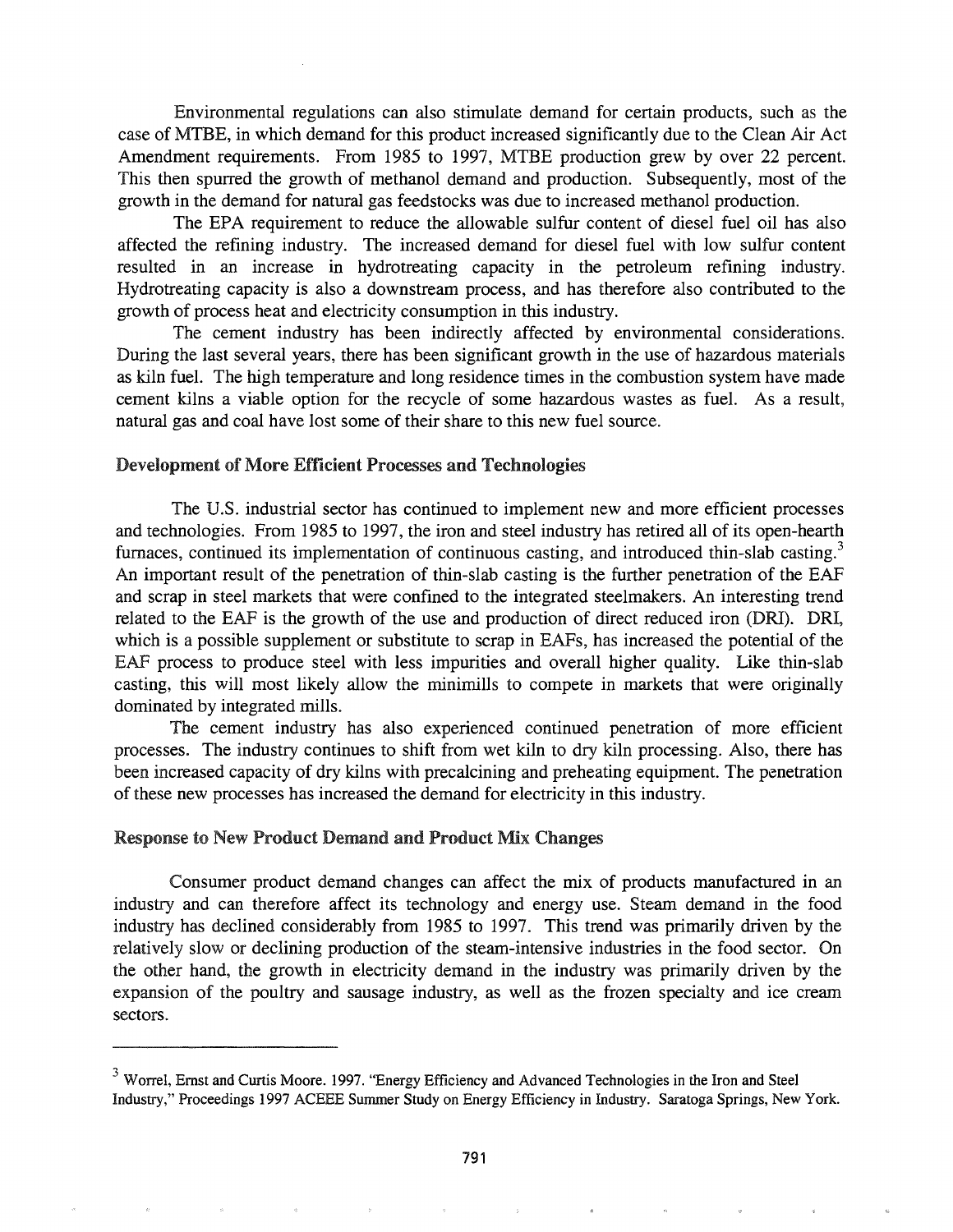Environmental regulations can also stimulate demand for certain products, such as the case of MTBE, in which demand for this product increased significantly due to the Clean Air Act Amendment requirements. From 1985 to 1997, MTBE production grew by over 22 percent. This then spurred the growth of methanol demand and production. Subsequently, most of the growth in the demand for natural gas feedstocks was due to increased methanol production.

The EPA requirement to reduce the allowable sulfur content of diesel fuel oil has also affected the refining industry. The increased demand for diesel fuel with low sulfur content resulted in an increase in hydrotreating capacity in the petroleum refining industry. Hydrotreating capacity is also a downstream process, and has therefore also contributed to the growth of process heat and electricity consumption in this industry.

The cement industry has been indirectly affected by environmental considerations. During the last several years, there has been significant growth in the use of hazardous materials as kiln fuel. The high temperature and long residence times in the combustion system have made cement kilns a viable option for the recycle of some hazardous wastes as fuel. As a result, natural gas and coal have lost some of their share to this new fuel source.

#### Development of More Efficient Processes and Technologies

The U.S. industrial sector has continued to implement new and more efficient processes and technologies. From 1985 to 1997, the iron and steel industry has retired all of its open-hearth furnaces, continued its implementation of continuous casting, and introduced thin-slab casting.<sup>3</sup> An important result of the penetration of thin-slab casting is the further penetration of the EAF and scrap in steel markets that were confined to the integrated steelmakers. An interesting trend related to the EAF is the growth of the use and production of direct reduced iron (DRI). DRI, which is a possible supplement or substitute to scrap in EAFs, has increased the potential of the EAF process to produce steel with less impurities and overall higher quality. Like thin-slab casting, this will most likely allow the minimills to compete in markets that were originally dominated by integrated mills.

The cement industry has also experienced continued penetration of more efficient processes. The industry continues to shift from wet kiln to dry kiln processing. Also, there has been increased capacity of dry kilns with precalcining and preheating equipment. The penetration of these new processes has increased the demand for electricity in this industry.

#### Response to New Product Demand and Product Mix Changes

Consumer product demand changes can affect the mix of products manufactured in an industry and can therefore affect its technology and energy use. Steam demand in the food industry has declined considerably from 1985 to 1997. This trend was primarily driven by the relatively slow or declining production of the steam-intensive industries in the food sector. On the other hand, the growth in electricity demand in the industry was primarily driven by the expansion of the poultry and sausage industry, as well as the frozen specialty and ice cream sectors.

<sup>&</sup>lt;sup>3</sup> Worrel, Ernst and Curtis Moore. 1997. "Energy Efficiency and Advanced Technologies in the Iron and Steel Industry," Proceedings 1997 ACEEE Summer Study on Energy Efficiency in Industry. Saratoga Springs, New York.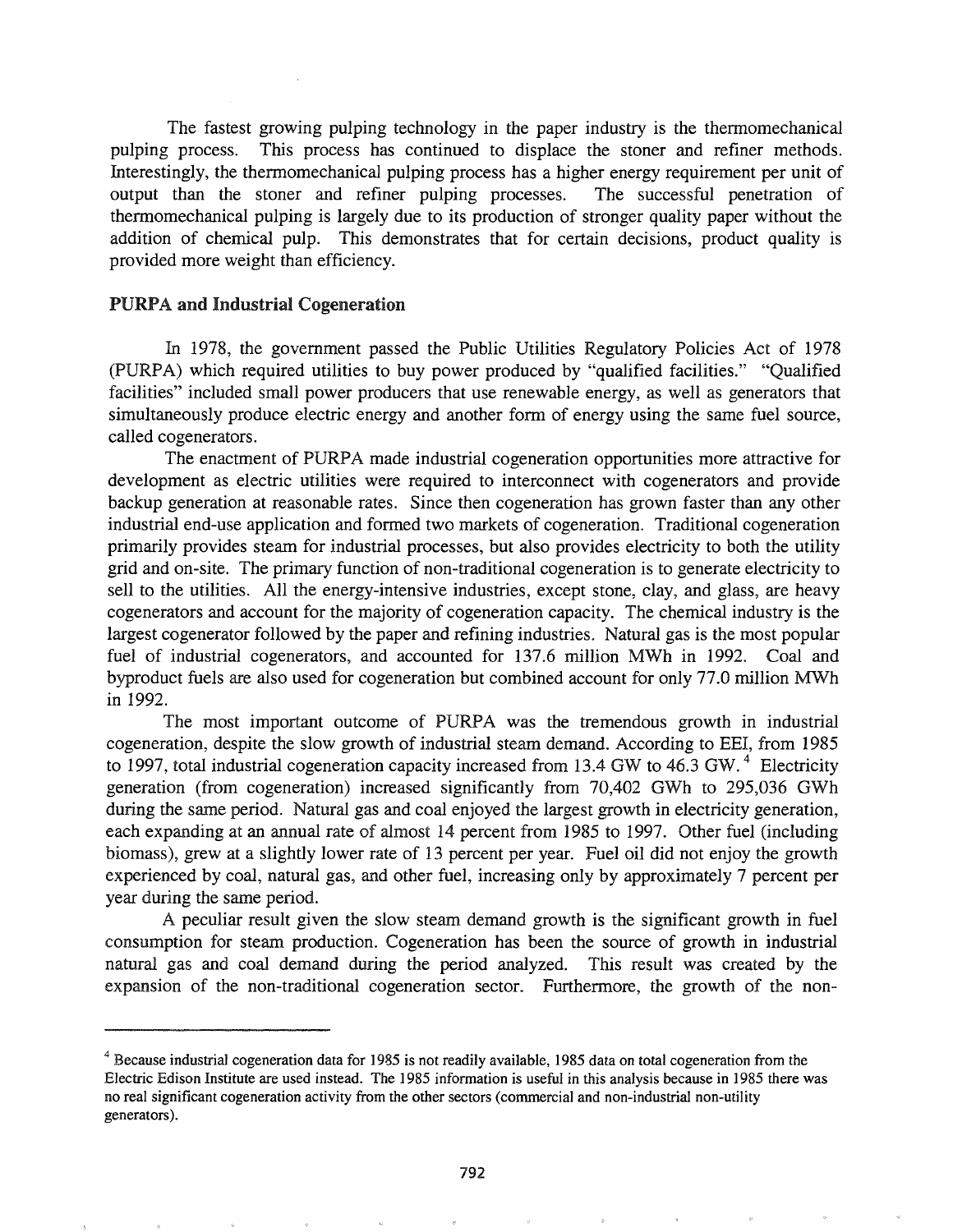The fastest growing pulping technology in the paper industry is the thermomechanical pulping process. This process has continued to displace the stoner and refiner methods. Interestingly, the thermomechanical pulping process has a higher energy requirement per unit of output than the stoner and refiner pulping processes. The successful penetration of thermomechanical pulping is largely due to its production of stronger quality paper without the addition of chemical pulp. This demonstrates that for certain decisions, product quality is provided more weight than efficiency.

#### PURPA and Industrial Cogeneration

In 1978, the government passed the Public Utilities Regulatory Policies Act of 1978 (PURPA) which required utilities to buy power produced by "qualified facilities." "Qualified facilities" included small power producers that use renewable energy, as well as generators that simultaneously produce electric energy and another form of energy using the same fuel source, called cogenerators.

The enactment of PURPA made industrial cogeneration opportunities more attractive for development as electric utilities were required to interconnect with cogenerators and provide backup generation at reasonable rates. Since then cogeneration has grown faster than any other industrial end-use application and fonned two markets of cogeneration. Traditional cogeneration primarily provides steam for industrial processes, but also provides electricity to both the utility grid and on-site. The primary function of non-traditional cogeneration is to generate electricity to sell to the utilities. All the energy-intensive industries, except stone, clay, and glass, are heavy cogenerators and account for the majority of cogeneration capacity. The chemical industry is the largest cogenerator followed by the paper and refining industries. Natural gas is the most popular fuel of industrial cogenerators, and accounted for 137.6 million MWh in 1992. Coal and byproduct fuels are also used for cogeneration but combined account for only 77.0 million MWh in 1992.

The most important outcome of PURPA was the tremendous growth in industrial cogeneration, despite the slow growth of industrial steam demand. According to EEl, from 1985 to 1997, total industrial cogeneration capacity increased from 13.4 GW to 46.3 GW.<sup>4</sup> Electricity generation (from cogeneration) increased significantly from 70,402 GWh to 295,036 GWh during the same period. Natural gas and coal enjoyed the largest growth in electricity generation, each expanding at an annual rate of almost 14 percent from 1985 to 1997. Other fuel (including biomass), grew at a slightly lower rate of 13 percent per year. Fuel oil did not enjoy the growth experienced by coal, natural gas, and other fuel, increasing only by approximately 7 percent per year during the same period.

A peculiar result given the slow steam demand growth is the significant growth in fuel consumption for steam production. Cogeneration has been the source of growth in industrial natural gas and coal demand during the period analyzed. This result was created by the expansion of the non-traditional cogeneration sector. Furthermore, the growth of the non-

<sup>&</sup>lt;sup>4</sup> Because industrial cogeneration data for 1985 is not readily available, 1985 data on total cogeneration from the Electric Edison Institute are used instead. The 1985 information is useful in this analysis because in 1985 there was no real significant cogeneration activity from the other sectors (commercial and non-industrial non-utility generators).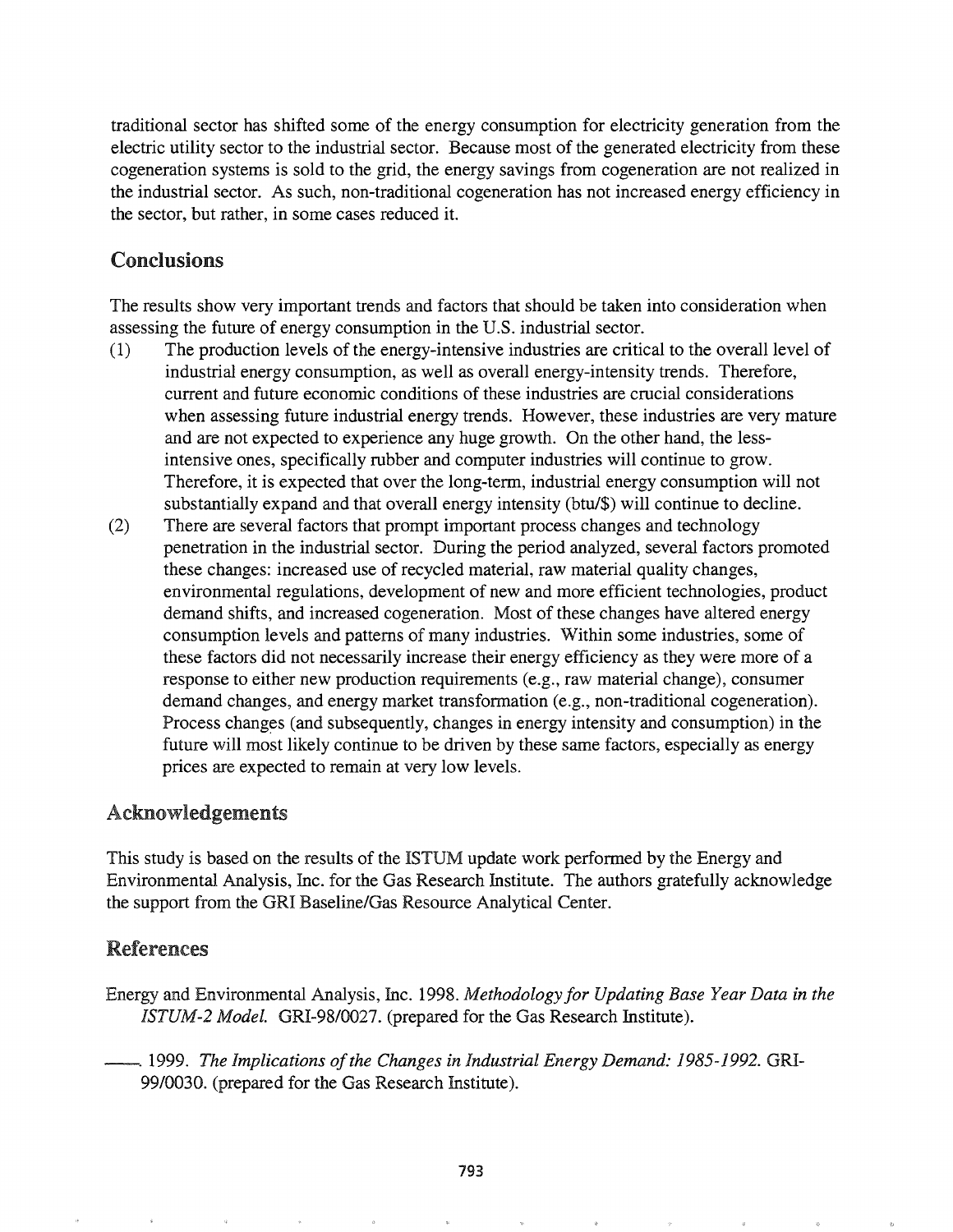traditional sector has shifted some of the energy consumption for electricity generation from the electric utility sector to the industrial sector. Because most of the generated electricity from these cogeneration systems is sold to the grid, the energy savings from cogeneration are not realized in the industrial sector. As such, non-traditional cogeneration has not increased energy efficiency in the sector, but rather, in some cases reduced it.

# Conclusions

The results show very important trends and factors that should be taken into consideration when assessing the future of energy consumption in the U.S. industrial sector.

- (1) The production levels of the energy-intensive industries are critical to the overall level of industrial energy consumption, as well as overall energy-intensity trends. Therefore, current and future economic conditions of these industries are crucial considerations when assessing future industrial energy trends. However, these industries are very mature and are not expected to experience any huge growth. On the other hand, the lessintensive ones, specifically rubber and computer industries will continue to grow. Therefore, it is expected that over the long-term, industrial energy consumption will not substantially expand and that overall energy intensity (btu/\$) will continue to decline.
- (2) There are several factors that prompt important process changes and technology penetration in the industrial sector. During the period analyzed, several factors promoted these changes: increased use of recycled material, raw material quality changes, environmental regulations, development of new and more efficient technologies, product demand shifts, and increased cogeneration. Most of these changes have altered energy consumption levels and patterns of many industries. Within some industries, some of these factors did not necessarily increase their energy efficiency as they were more of a response to either new production requirements (e.g., raw material change), consumer demand changes, and energy market transformation (e.g., non-traditional cogeneration). Process changes (and subsequently, changes in energy intensity and consumption) in the future will most likely continue to be driven by these same factors, especially as energy prices are expected to remain at very low levels.

# Acknowledgements

This study is based on the results of the ISTUM update work performed by the Energy and Environmental Analysis, Inc. for the Gas Research Institute. The authors gratefully acknowledge the support from the GRI Baseline/Gas Resource Analytical Center.

# References

- Energy and Environmental Analysis, Inc. 1998. Methodology for Updating Base Year Data in the *ISTUM-2 Model.* GRI-98/0027. (prepared for the Gas Research Institute).
- --~ 1999. *The Implications ofthe Changes in Industrial Energy Demand.o* 1985-1992. GRI-99/0030. (prepared for the Gas Research Institute).